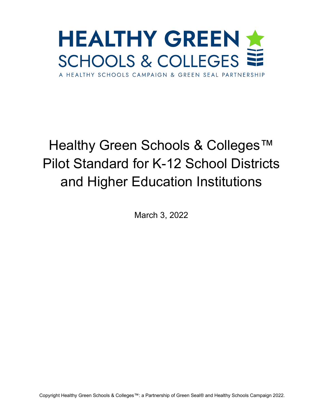

# Healthy Green Schools & Colleges<sup>™</sup> Pilot Standard for K-12 School Districts and Higher Education Institutions

March 3, 2022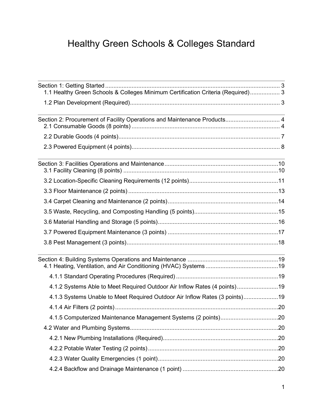# Healthy Green Schools & Colleges Standard

| 1.1 Healthy Green Schools & Colleges Minimum Certification Criteria (Required) 3                                 |  |  |
|------------------------------------------------------------------------------------------------------------------|--|--|
|                                                                                                                  |  |  |
| Section 2: Procurement of Facility Operations and Maintenance Products 4                                         |  |  |
|                                                                                                                  |  |  |
|                                                                                                                  |  |  |
| and the control of the control of the control of the control of the control of the control of the control of the |  |  |
|                                                                                                                  |  |  |
|                                                                                                                  |  |  |
|                                                                                                                  |  |  |
|                                                                                                                  |  |  |
|                                                                                                                  |  |  |
|                                                                                                                  |  |  |
|                                                                                                                  |  |  |
|                                                                                                                  |  |  |
| 4.1.2 Systems Able to Meet Required Outdoor Air Inflow Rates (4 points)19                                        |  |  |
| 4.1.3 Systems Unable to Meet Required Outdoor Air Inflow Rates (3 points)19                                      |  |  |
|                                                                                                                  |  |  |
|                                                                                                                  |  |  |
|                                                                                                                  |  |  |
|                                                                                                                  |  |  |
|                                                                                                                  |  |  |
|                                                                                                                  |  |  |
|                                                                                                                  |  |  |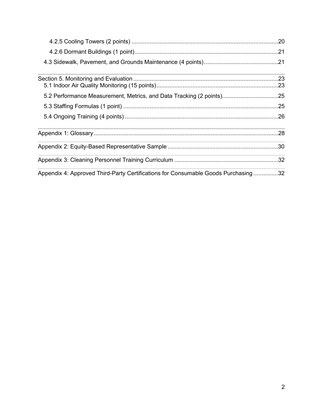| 5.2 Performance Measurement, Metrics, and Data Tracking (2 points)25              |  |
|-----------------------------------------------------------------------------------|--|
|                                                                                   |  |
|                                                                                   |  |
|                                                                                   |  |
|                                                                                   |  |
|                                                                                   |  |
| Appendix 4: Approved Third-Party Certifications for Consumable Goods Purchasing32 |  |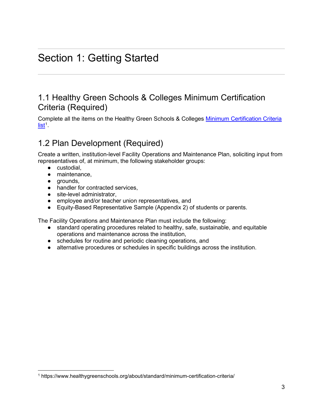# <span id="page-3-0"></span>Section 1: Getting Started

# <span id="page-3-1"></span>1.1 Healthy Green Schools & Colleges Minimum Certification Criteria (Required)

Complete all the items on the Healthy Green Schools & Colleges [Minimum Certification Criteria](https://www.healthygreenschools.org/about/standard/minimum-certification-criteria/)  [list](https://www.healthygreenschools.org/about/standard/minimum-certification-criteria/)<sup>[1](#page-3-3)</sup>.

# <span id="page-3-2"></span>1.2 Plan Development (Required)

Create a written, institution-level Facility Operations and Maintenance Plan, soliciting input from representatives of, at minimum, the following stakeholder groups:

- custodial,
- maintenance,
- grounds,
- handler for contracted services.
- site-level administrator,
- employee and/or teacher union representatives, and
- Equity-Based Representative Sample (Appendix 2) of students or parents.

The Facility Operations and Maintenance Plan must include the following:

- standard operating procedures related to healthy, safe, sustainable, and equitable operations and maintenance across the institution,
- schedules for routine and periodic cleaning operations, and
- alternative procedures or schedules in specific buildings across the institution.

<span id="page-3-3"></span><sup>1</sup> https://www.healthygreenschools.org/about/standard/minimum-certification-criteria/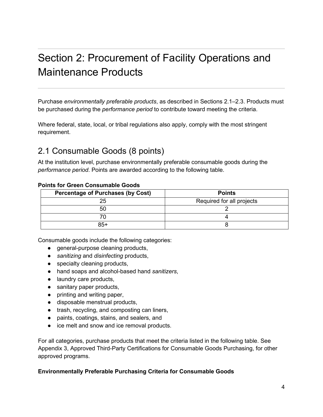# <span id="page-4-0"></span>Section 2: Procurement of Facility Operations and Maintenance Products

Purchase *environmentally preferable products*, as described in Sections 2.1–2.3. Products must be purchased during the *performance period* to contribute toward meeting the criteria.

Where federal, state, local, or tribal regulations also apply, comply with the most stringent requirement.

# <span id="page-4-1"></span>2.1 Consumable Goods (8 points)

At the institution level, purchase environmentally preferable consumable goods during the *performance period*. Points are awarded according to the following table.

| <b>Percentage of Purchases (by Cost)</b> | <b>Points</b>             |
|------------------------------------------|---------------------------|
| 25                                       | Required for all projects |
| 50                                       |                           |
|                                          |                           |
| $85+$                                    |                           |

#### **Points for Green Consumable Goods**

Consumable goods include the following categories:

- general-purpose cleaning products,
- *sanitizing* and *disinfecting* products,
- specialty cleaning products,
- hand soaps and alcohol-based hand *sanitizers*,
- laundry care products,
- sanitary paper products,
- printing and writing paper,
- disposable menstrual products,
- trash, recycling, and composting can liners,
- paints, coatings, stains, and sealers, and
- ice melt and snow and ice removal products.

For all categories, purchase products that meet the criteria listed in the following table. See Appendix 3, Approved Third-Party Certifications for Consumable Goods Purchasing, for other approved programs.

#### **Environmentally Preferable Purchasing Criteria for Consumable Goods**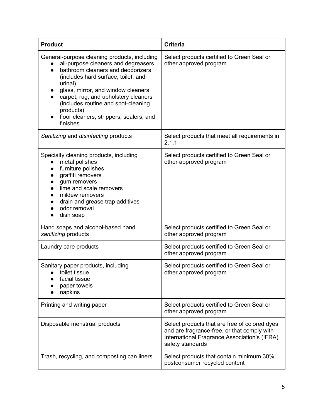| <b>Product</b>                                                                                                                                                                                                                                                                                                                                                                   | <b>Criteria</b>                                                                                                                                                  |
|----------------------------------------------------------------------------------------------------------------------------------------------------------------------------------------------------------------------------------------------------------------------------------------------------------------------------------------------------------------------------------|------------------------------------------------------------------------------------------------------------------------------------------------------------------|
| General-purpose cleaning products, including<br>all-purpose cleaners and degreasers<br>bathroom cleaners and deodorizers<br>$\bullet$<br>(includes hard surface, toilet, and<br>urinal)<br>glass, mirror, and window cleaners<br>carpet, rug, and upholstery cleaners<br>(includes routine and spot-cleaning<br>products)<br>floor cleaners, strippers, sealers, and<br>finishes | Select products certified to Green Seal or<br>other approved program                                                                                             |
| Sanitizing and disinfecting products                                                                                                                                                                                                                                                                                                                                             | Select products that meet all requirements in<br>2.1.1                                                                                                           |
| Specialty cleaning products, including<br>metal polishes<br>furniture polishes<br>$\bullet$<br>graffiti removers<br>gum removers<br>lime and scale removers<br>mildew removers<br>drain and grease trap additives<br>odor removal<br>dish soap                                                                                                                                   | Select products certified to Green Seal or<br>other approved program                                                                                             |
| Hand soaps and alcohol-based hand<br>sanitizing products                                                                                                                                                                                                                                                                                                                         | Select products certified to Green Seal or<br>other approved program                                                                                             |
| Laundry care products                                                                                                                                                                                                                                                                                                                                                            | Select products certified to Green Seal or<br>other approved program                                                                                             |
| Sanitary paper products, including<br>• toilet tissue<br>facial tissue<br>paper towels<br>napkins                                                                                                                                                                                                                                                                                | Select products certified to Green Seal or<br>other approved program                                                                                             |
| Printing and writing paper                                                                                                                                                                                                                                                                                                                                                       | Select products certified to Green Seal or<br>other approved program                                                                                             |
| Disposable menstrual products                                                                                                                                                                                                                                                                                                                                                    | Select products that are free of colored dyes<br>and are fragrance-free, or that comply with<br>International Fragrance Association's (IFRA)<br>safety standards |
| Trash, recycling, and composting can liners                                                                                                                                                                                                                                                                                                                                      | Select products that contain minimum 30%<br>postconsumer recycled content                                                                                        |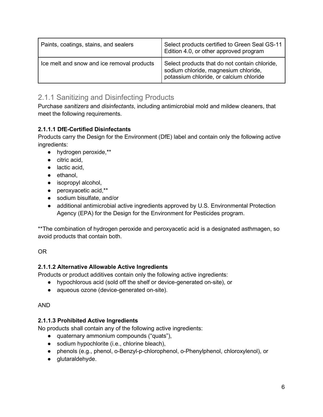| Paints, coatings, stains, and sealers      | Select products certified to Green Seal GS-11<br>Edition 4.0, or other approved program                                          |
|--------------------------------------------|----------------------------------------------------------------------------------------------------------------------------------|
| Ice melt and snow and ice removal products | Select products that do not contain chloride,<br>sodium chloride, magnesium chloride,<br>potassium chloride, or calcium chloride |

## 2.1.1 Sanitizing and Disinfecting Products

Purchase *sanitizers* and *disinfectants*, including antimicrobial mold and mildew cleaners, that meet the following requirements.

### **2.1.1.1 DfE-Certified Disinfectants**

Products carry the Design for the Environment (DfE) label and contain only the following active ingredients:

- hydrogen peroxide,\*\*
- citric acid.
- lactic acid,
- ethanol,
- isopropyl alcohol,
- peroxyacetic acid,\*\*
- sodium bisulfate, and/or
- additional antimicrobial active ingredients approved by U.S. Environmental Protection Agency (EPA) for the Design for the Environment for Pesticides program.

\*\*The combination of hydrogen peroxide and peroxyacetic acid is a designated asthmagen, so avoid products that contain both.

### OR

#### **2.1.1.2 Alternative Allowable Active Ingredients**

Products or product additives contain only the following active ingredients:

- hypochlorous acid (sold off the shelf or device-generated on-site), or
- aqueous ozone (device-generated on-site).

#### AND

#### **2.1.1.3 Prohibited Active Ingredients**

No products shall contain any of the following active ingredients:

- quaternary ammonium compounds ("quats"),
- sodium hypochlorite (i.e., chlorine bleach),
- phenols (e.g., phenol, o-Benzyl-p-chlorophenol, o-Phenylphenol, chloroxylenol), or
- glutaraldehyde.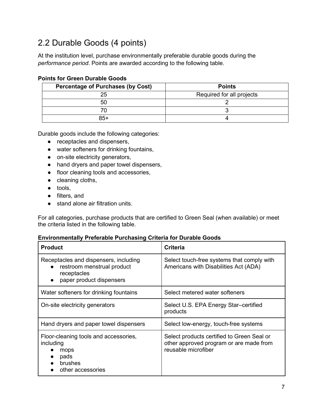# <span id="page-7-0"></span>2.2 Durable Goods (4 points)

At the institution level, purchase environmentally preferable durable goods during the *performance period*. Points are awarded according to the following table.

| <b>Percentage of Purchases (by Cost)</b> | <b>Points</b>             |
|------------------------------------------|---------------------------|
| 25                                       | Required for all projects |
| 50                                       |                           |
|                                          |                           |
| 85+                                      |                           |

#### **Points for Green Durable Goods**

Durable goods include the following categories:

- receptacles and dispensers,
- water softeners for drinking fountains,
- on-site electricity generators,
- hand dryers and paper towel dispensers,
- floor cleaning tools and accessories,
- cleaning cloths,
- tools,
- filters, and
- stand alone air filtration units.

For all categories, purchase products that are certified to Green Seal (when available) or meet the criteria listed in the following table.

#### **Environmentally Preferable Purchasing Criteria for Durable Goods**

| <b>Product</b>                                                                                                 | <b>Criteria</b>                                                                                              |
|----------------------------------------------------------------------------------------------------------------|--------------------------------------------------------------------------------------------------------------|
| Receptacles and dispensers, including<br>restroom menstrual product<br>receptacles<br>paper product dispensers | Select touch-free systems that comply with<br>Americans with Disabilities Act (ADA)                          |
| Water softeners for drinking fountains                                                                         | Select metered water softeners                                                                               |
| On-site electricity generators                                                                                 | Select U.S. EPA Energy Star-certified<br>products                                                            |
| Hand dryers and paper towel dispensers                                                                         | Select low-energy, touch-free systems                                                                        |
| Floor-cleaning tools and accessories,<br>including<br>mops<br>pads<br>brushes<br>other accessories             | Select products certified to Green Seal or<br>other approved program or are made from<br>reusable microfiber |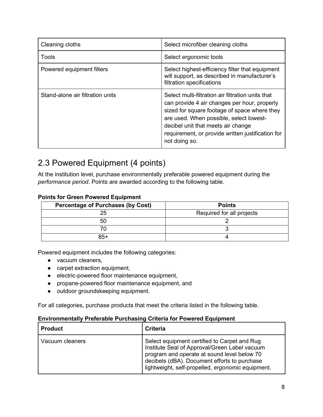| Cleaning cloths                  | Select microfiber cleaning cloths                                                                                                                                                                                                                                                                        |
|----------------------------------|----------------------------------------------------------------------------------------------------------------------------------------------------------------------------------------------------------------------------------------------------------------------------------------------------------|
| Tools                            | Select ergonomic tools                                                                                                                                                                                                                                                                                   |
| Powered equipment filters        | Select highest-efficiency filter that equipment<br>will support, as described in manufacturer's<br>filtration specifications                                                                                                                                                                             |
| Stand-alone air filtration units | Select multi-filtration air filtration units that<br>can provide 4 air changes per hour, properly<br>sized for square footage of space where they<br>are used. When possible, select lowest-<br>decibel unit that meets air change<br>requirement, or provide written justification for<br>not doing so. |

# <span id="page-8-0"></span>2.3 Powered Equipment (4 points)

At the institution level, purchase environmentally preferable powered equipment during the *performance period*. Points are awarded according to the following table.

| <b>Percentage of Purchases (by Cost)</b> | <b>Points</b>             |
|------------------------------------------|---------------------------|
| つに                                       | Required for all projects |
| 50                                       |                           |
|                                          |                           |
| 85+                                      |                           |

Powered equipment includes the following categories:

- vacuum cleaners,
- carpet extraction equipment,
- electric-powered floor maintenance equipment,
- propane-powered floor maintenance equipment, and
- outdoor groundskeeping equipment.

For all categories, purchase products that meet the criteria listed in the following table.

#### **Environmentally Preferable Purchasing Criteria for Powered Equipment**

| <b>Product</b>  | <b>Criteria</b>                                                                                                                                                                                                                                   |
|-----------------|---------------------------------------------------------------------------------------------------------------------------------------------------------------------------------------------------------------------------------------------------|
| Vacuum cleaners | Select equipment certified to Carpet and Rug<br>Institute Seal of Approval/Green Label vacuum<br>program and operate at sound level below 70<br>decibels (dBA). Document efforts to purchase<br>lightweight, self-propelled, ergonomic equipment. |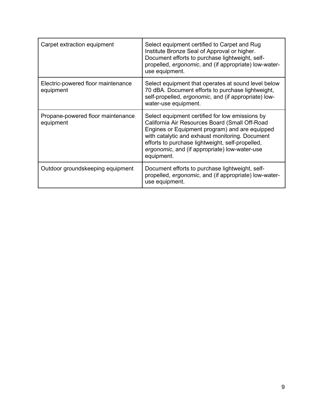| Carpet extraction equipment                     | Select equipment certified to Carpet and Rug<br>Institute Bronze Seal of Approval or higher.<br>Document efforts to purchase lightweight, self-<br>propelled, ergonomic, and (if appropriate) low-water-<br>use equipment.                                                                                                |
|-------------------------------------------------|---------------------------------------------------------------------------------------------------------------------------------------------------------------------------------------------------------------------------------------------------------------------------------------------------------------------------|
| Electric-powered floor maintenance<br>equipment | Select equipment that operates at sound level below<br>70 dBA. Document efforts to purchase lightweight,<br>self-propelled, ergonomic, and (if appropriate) low-<br>water-use equipment.                                                                                                                                  |
| Propane-powered floor maintenance<br>equipment  | Select equipment certified for low emissions by<br>California Air Resources Board (Small Off-Road<br>Engines or Equipment program) and are equipped<br>with catalytic and exhaust monitoring. Document<br>efforts to purchase lightweight, self-propelled,<br>ergonomic, and (if appropriate) low-water-use<br>equipment. |
| Outdoor groundskeeping equipment                | Document efforts to purchase lightweight, self-<br>propelled, ergonomic, and (if appropriate) low-water-<br>use equipment.                                                                                                                                                                                                |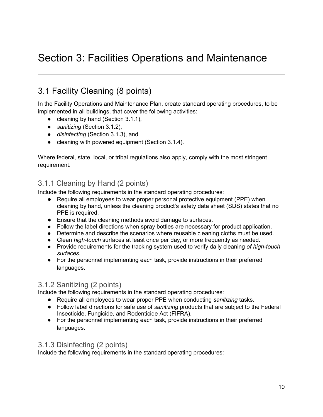# <span id="page-10-0"></span>Section 3: Facilities Operations and Maintenance

# <span id="page-10-1"></span>3.1 Facility Cleaning (8 points)

In the Facility Operations and Maintenance Plan, create standard operating procedures, to be implemented in all buildings, that cover the following activities:

- cleaning by hand (Section 3.1.1),
- *sanitizing* (Section 3.1.2),
- *disinfecting* (Section 3.1.3), and
- cleaning with powered equipment (Section 3.1.4).

Where federal, state, local, or tribal regulations also apply, comply with the most stringent requirement.

# 3.1.1 Cleaning by Hand (2 points)

Include the following requirements in the standard operating procedures:

- Require all employees to wear proper personal protective equipment (PPE) when cleaning by hand, unless the cleaning product's safety data sheet (SDS) states that no PPE is required.
- Ensure that the cleaning methods avoid damage to surfaces.
- Follow the label directions when spray bottles are necessary for product application.
- Determine and describe the scenarios where reusable cleaning cloths must be used.
- Clean *high-touch* surfaces at least once per day, or more frequently as needed.
- Provide requirements for the tracking system used to verify daily cleaning *of high-touch surfaces*.
- For the personnel implementing each task, provide instructions in their preferred languages.

### 3.1.2 Sanitizing (2 points)

Include the following requirements in the standard operating procedures:

- Require all employees to wear proper PPE when conducting *sanitizing* tasks.
- Follow label directions for safe use of *sanitizing* products that are subject to the Federal Insecticide, Fungicide, and Rodenticide Act (FIFRA).
- For the personnel implementing each task, provide instructions in their preferred languages.

### 3.1.3 Disinfecting (2 points)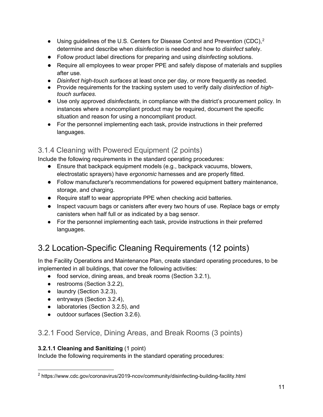- $\bullet$  Using guidelines of the U.S. Centers for Disease Control and Prevention (CDC),<sup>[2](#page-11-1)</sup> determine and describe when *disinfection* is needed and how to *disinfect* safely.
- Follow product label directions for preparing and using *disinfecting* solutions.
- Require all employees to wear proper PPE and safely dispose of materials and supplies after use.
- *Disinfect high-touch surfaces* at least once per day, or more frequently as needed.
- Provide requirements for the tracking system used to verify daily *disinfection* of *hightouch surfaces*.
- Use only approved *disinfectants*, in compliance with the district's procurement policy. In instances where a noncompliant product may be required, document the specific situation and reason for using a noncompliant product.
- For the personnel implementing each task, provide instructions in their preferred languages.

# 3.1.4 Cleaning with Powered Equipment (2 points)

Include the following requirements in the standard operating procedures:

- Ensure that backpack equipment models (e.g., backpack vacuums, blowers, electrostatic sprayers) have *ergonomic* harnesses and are properly fitted.
- Follow manufacturer's recommendations for powered equipment battery maintenance, storage, and charging.
- Require staff to wear appropriate PPE when checking acid batteries.
- Inspect vacuum bags or canisters after every two hours of use. Replace bags or empty canisters when half full or as indicated by a bag sensor.
- For the personnel implementing each task, provide instructions in their preferred languages.

# <span id="page-11-0"></span>3.2 Location-Specific Cleaning Requirements (12 points)

In the Facility Operations and Maintenance Plan, create standard operating procedures, to be implemented in all buildings, that cover the following activities:

- food service, dining areas, and break rooms (Section 3.2.1),
- restrooms (Section 3.2.2),
- laundry (Section 3.2.3),
- $\bullet$  entryways (Section 3.2.4),
- laboratories (Section 3.2.5), and
- outdoor surfaces (Section 3.2.6).

## 3.2.1 Food Service, Dining Areas, and Break Rooms (3 points)

#### **3.2.1.1 Cleaning and Sanitizing** (1 point)

<span id="page-11-1"></span><sup>2</sup> https://www.cdc.gov/coronavirus/2019-ncov/community/disinfecting-building-facility.html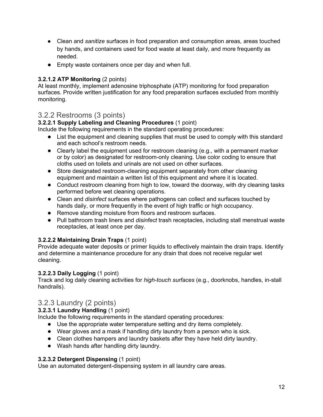- Clean and *sanitize* surfaces in food preparation and consumption areas, areas touched by hands, and containers used for food waste at least daily, and more frequently as needed.
- Empty waste containers once per day and when full.

#### **3.2.1.2 ATP Monitoring** (2 points)

At least monthly, implement adenosine triphosphate (ATP) monitoring for food preparation surfaces. Provide written justification for any food preparation surfaces excluded from monthly monitoring.

### 3.2.2 Restrooms (3 points)

#### **3.2.2.1 Supply Labeling and Cleaning Procedures** (1 point)

Include the following requirements in the standard operating procedures:

- List the equipment and cleaning supplies that must be used to comply with this standard and each school's restroom needs.
- Clearly label the equipment used for restroom cleaning (e.g., with a permanent marker or by color) as designated for restroom-only cleaning. Use color coding to ensure that cloths used on toilets and urinals are not used on other surfaces.
- Store designated restroom-cleaning equipment separately from other cleaning equipment and maintain a written list of this equipment and where it is located.
- Conduct restroom cleaning from high to low, toward the doorway, with dry cleaning tasks performed before wet cleaning operations.
- Clean and *disinfect* surfaces where pathogens can collect and surfaces touched by hands daily, or more frequently in the event of high traffic or high occupancy.
- Remove standing moisture from floors and restroom surfaces.
- Pull bathroom trash liners and *disinfect* trash receptacles, including stall menstrual waste receptacles, at least once per day.

#### **3.2.2.2 Maintaining Drain Traps** (1 point)

Provide adequate water deposits or primer liquids to effectively maintain the drain traps. Identify and determine a maintenance procedure for any drain that does not receive regular wet cleaning.

#### **3.2.2.3 Daily Logging** (1 point)

Track and log daily cleaning activities for *high-touch surfaces* (e.g., doorknobs, handles, in-stall handrails).

### 3.2.3 Laundry (2 points)

#### **3.2.3.1 Laundry Handling** (1 point)

Include the following requirements in the standard operating procedures:

- Use the appropriate water temperature setting and dry items completely.
- Wear gloves and a mask if handling dirty laundry from a person who is sick.
- Clean clothes hampers and laundry baskets after they have held dirty laundry.
- Wash hands after handling dirty laundry.

#### **3.2.3.2 Detergent Dispensing** (1 point)

Use an automated detergent-dispensing system in all laundry care areas.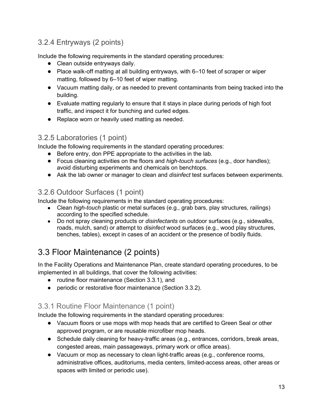# 3.2.4 Entryways (2 points)

Include the following requirements in the standard operating procedures:

- Clean outside entryways daily.
- Place walk-off matting at all building entryways, with 6–10 feet of scraper or wiper matting, followed by 6–10 feet of wiper matting.
- Vacuum matting daily, or as needed to prevent contaminants from being tracked into the building.
- Evaluate matting regularly to ensure that it stays in place during periods of high foot traffic, and inspect it for bunching and curled edges.
- Replace worn or heavily used matting as needed.

### 3.2.5 Laboratories (1 point)

Include the following requirements in the standard operating procedures:

- Before entry, don PPE appropriate to the activities in the lab.
- Focus cleaning activities on the floors and *high-touch surfaces* (e.g., door handles); avoid disturbing experiments and chemicals on benchtops.
- Ask the lab owner or manager to clean and *disinfect* test surfaces between experiments.

## 3.2.6 Outdoor Surfaces (1 point)

Include the following requirements in the standard operating procedures:

- Clean *high-touch* plastic or metal surfaces (e.g., grab bars, play structures, railings) according to the specified schedule.
- Do not spray cleaning products or *disinfectants* on outdoor surfaces (e.g., sidewalks, roads, mulch, sand) or attempt to *disinfect* wood surfaces (e.g., wood play structures, benches, tables), except in cases of an accident or the presence of bodily fluids.

# <span id="page-13-0"></span>3.3 Floor Maintenance (2 points)

In the Facility Operations and Maintenance Plan, create standard operating procedures, to be implemented in all buildings, that cover the following activities:

- routine floor maintenance (Section 3.3.1), and
- periodic or restorative floor maintenance (Section 3.3.2).

## 3.3.1 Routine Floor Maintenance (1 point)

- Vacuum floors or use mops with mop heads that are certified to Green Seal or other approved program, or are reusable microfiber mop heads.
- Schedule daily cleaning for heavy-traffic areas (e.g., entrances, corridors, break areas, congested areas, main passageways, primary work or office areas).
- Vacuum or mop as necessary to clean light-traffic areas (e.g., conference rooms, administrative offices, auditoriums, media centers, limited-access areas, other areas or spaces with limited or periodic use).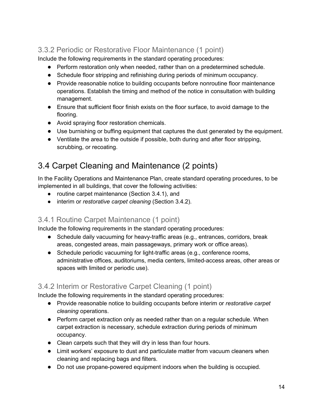# 3.3.2 Periodic or Restorative Floor Maintenance (1 point)

Include the following requirements in the standard operating procedures:

- Perform restoration only when needed, rather than on a predetermined schedule.
- Schedule floor stripping and refinishing during periods of minimum occupancy.
- Provide reasonable notice to building occupants before nonroutine floor maintenance operations. Establish the timing and method of the notice in consultation with building management.
- Ensure that sufficient floor finish exists on the floor surface, to avoid damage to the flooring.
- Avoid spraying floor restoration chemicals.
- Use burnishing or buffing equipment that captures the dust generated by the equipment.
- Ventilate the area to the outside if possible, both during and after floor stripping, scrubbing, or recoating.

# <span id="page-14-0"></span>3.4 Carpet Cleaning and Maintenance (2 points)

In the Facility Operations and Maintenance Plan, create standard operating procedures, to be implemented in all buildings, that cover the following activities:

- routine carpet maintenance (Section 3.4.1), and
- interim or *restorative carpet cleaning* (Section 3.4.2).

### 3.4.1 Routine Carpet Maintenance (1 point)

Include the following requirements in the standard operating procedures:

- Schedule daily vacuuming for heavy-traffic areas (e.g., entrances, corridors, break areas, congested areas, main passageways, primary work or office areas).
- Schedule periodic vacuuming for light-traffic areas (e.g., conference rooms, administrative offices, auditoriums, media centers, limited-access areas, other areas or spaces with limited or periodic use).

### 3.4.2 Interim or Restorative Carpet Cleaning (1 point)

- Provide reasonable notice to building occupants before interim or *restorative carpet cleaning* operations.
- Perform carpet extraction only as needed rather than on a regular schedule. When carpet extraction is necessary, schedule extraction during periods of minimum occupancy.
- Clean carpets such that they will dry in less than four hours.
- Limit workers' exposure to dust and particulate matter from vacuum cleaners when cleaning and replacing bags and filters.
- Do not use propane-powered equipment indoors when the building is occupied.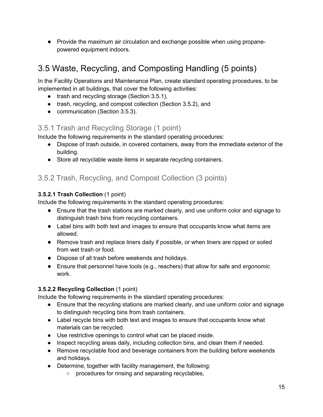● Provide the maximum air circulation and exchange possible when using propanepowered equipment indoors.

# <span id="page-15-0"></span>3.5 Waste, Recycling, and Composting Handling (5 points)

In the Facility Operations and Maintenance Plan, create standard operating procedures, to be implemented in all buildings, that cover the following activities:

- trash and recycling storage (Section 3.5.1),
- trash, recycling, and compost collection (Section 3.5.2), and
- communication (Section 3.5.3).

## 3.5.1 Trash and Recycling Storage (1 point)

Include the following requirements in the standard operating procedures:

- Dispose of trash outside, in covered containers, away from the immediate exterior of the building.
- Store all recyclable waste items in separate recycling containers.

## 3.5.2 Trash, Recycling, and Compost Collection (3 points)

#### **3.5.2.1 Trash Collection** (1 point)

Include the following requirements in the standard operating procedures:

- Ensure that the trash stations are marked clearly, and use uniform color and signage to distinguish trash bins from recycling containers.
- Label bins with both text and images to ensure that occupants know what items are allowed.
- Remove trash and replace liners daily if possible, or when liners are ripped or soiled from wet trash or food.
- Dispose of all trash before weekends and holidays.
- Ensure that personnel have tools (e.g., reachers) that allow for safe and *ergonomic* work.

#### **3.5.2.2 Recycling Collection** (1 point)

- Ensure that the recycling stations are marked clearly, and use uniform color and signage to distinguish recycling bins from trash containers.
- Label recycle bins with both text and images to ensure that occupants know what materials can be recycled.
- Use restrictive openings to control what can be placed inside.
- Inspect recycling areas daily, including collection bins, and clean them if needed.
- Remove recyclable food and beverage containers from the building before weekends and holidays.
- Determine, together with facility management, the following:
	- procedures for rinsing and separating recyclables,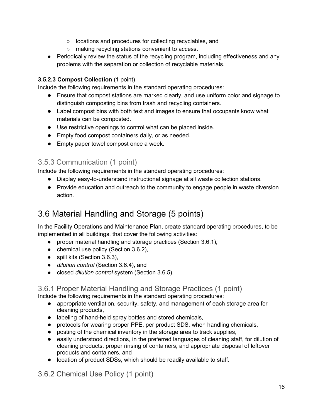- locations and procedures for collecting recyclables, and
- making recycling stations convenient to access.
- Periodically review the status of the recycling program, including effectiveness and any problems with the separation or collection of recyclable materials.

#### **3.5.2.3 Compost Collection** (1 point)

Include the following requirements in the standard operating procedures:

- Ensure that compost stations are marked clearly, and use uniform color and signage to distinguish composting bins from trash and recycling containers.
- Label compost bins with both text and images to ensure that occupants know what materials can be composted.
- Use restrictive openings to control what can be placed inside.
- Empty food compost containers daily, or as needed.
- Empty paper towel compost once a week.

### 3.5.3 Communication (1 point)

Include the following requirements in the standard operating procedures:

- Display easy-to-understand instructional signage at all waste collection stations.
- Provide education and outreach to the community to engage people in waste diversion action.

# <span id="page-16-0"></span>3.6 Material Handling and Storage (5 points)

In the Facility Operations and Maintenance Plan, create standard operating procedures, to be implemented in all buildings, that cover the following activities:

- proper material handling and storage practices (Section 3.6.1),
- chemical use policy (Section 3.6.2),
- spill kits (Section 3.6.3),
- *dilution control* (Section 3.6.4), and
- closed *dilution control* system (Section 3.6.5).

### 3.6.1 Proper Material Handling and Storage Practices (1 point)

Include the following requirements in the standard operating procedures:

- appropriate ventilation, security, safety, and management of each storage area for cleaning products,
- labeling of hand-held spray bottles and stored chemicals,
- protocols for wearing proper PPE, per product SDS, when handling chemicals,
- posting of the chemical inventory in the storage area to track supplies,
- easily understood directions, in the preferred languages of cleaning staff, for dilution of cleaning products, proper rinsing of containers, and appropriate disposal of leftover products and containers, and
- location of product SDSs, which should be readily available to staff.

3.6.2 Chemical Use Policy (1 point)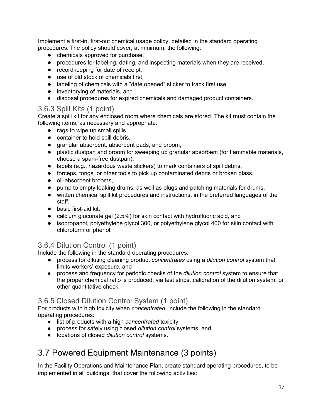Implement a first-in, first-out chemical usage policy, detailed in the standard operating procedures. The policy should cover, at minimum, the following:

- chemicals approved for purchase,
- procedures for labeling, dating, and inspecting materials when they are received,
- recordkeeping for date of receipt,
- use of old stock of chemicals first,
- labeling of chemicals with a "date opened" sticker to track first use,
- inventorving of materials, and
- disposal procedures for expired chemicals and damaged product containers.

### 3.6.3 Spill Kits (1 point)

Create a spill kit for any enclosed room where chemicals are stored. The kit must contain the following items, as necessary and appropriate:

- rags to wipe up small spills,
- container to hold spill debris.
- granular absorbent, absorbent pads, and broom,
- plastic dustpan and broom for sweeping up granular absorbent (for flammable materials, choose a spark-free dustpan),
- labels (e.g., hazardous waste stickers) to mark containers of spill debris,
- forceps, tongs, or other tools to pick up contaminated debris or broken glass,
- oil-absorbent brooms.
- pump to empty leaking drums, as well as plugs and patching materials for drums,
- written chemical spill kit procedures and instructions, in the preferred languages of the staff,
- basic first-aid kit,
- calcium gluconate gel (2.5%) for skin contact with hydrofluoric acid, and
- isopropanol, polyethylene glycol 300, or polyethylene glycol 400 for skin contact with chloroform or phenol.

### 3.6.4 Dilution Control (1 point)

Include the following in the standard operating procedures:

- process for diluting cleaning product *concentrates* using a *dilution control* system that limits workers' exposure, and
- process and frequency for periodic checks of the *dilution control* system to ensure that the proper chemical ratio is produced, via test strips, calibration of the dilution system, or other quantitative check.

### 3.6.5 Closed Dilution Control System (1 point)

For products with high toxicity when *concentrated*, include the following in the standard operating procedures:

- list of products with a high *concentrated* toxicity,
- process for safely using closed *dilution control* systems, and
- locations of closed *dilution control* systems.

# <span id="page-17-0"></span>3.7 Powered Equipment Maintenance (3 points)

In the Facility Operations and Maintenance Plan, create standard operating procedures, to be implemented in all buildings, that cover the following activities: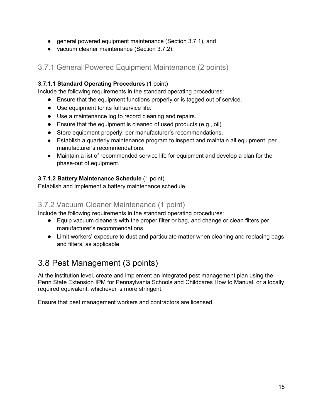- general powered equipment maintenance (Section 3.7.1), and
- vacuum cleaner maintenance (Section 3.7.2).

## 3.7.1 General Powered Equipment Maintenance (2 points)

#### **3.7.1.1 Standard Operating Procedures** (1 point)

Include the following requirements in the standard operating procedures:

- Ensure that the equipment functions properly or is tagged out of service.
- Use equipment for its full service life.
- Use a maintenance log to record cleaning and repairs.
- Ensure that the equipment is cleaned of used products (e.g., oil).
- Store equipment properly, per manufacturer's recommendations.
- Establish a quarterly maintenance program to inspect and maintain all equipment, per manufacturer's recommendations.
- Maintain a list of recommended service life for equipment and develop a plan for the phase-out of equipment.

#### **3.7.1.2 Battery Maintenance Schedule** (1 point)

Establish and implement a battery maintenance schedule.

### 3.7.2 Vacuum Cleaner Maintenance (1 point)

Include the following requirements in the standard operating procedures:

- Equip vacuum cleaners with the proper filter or bag, and change or clean filters per manufacturer's recommendations.
- Limit workers' exposure to dust and particulate matter when cleaning and replacing bags and filters, as applicable.

# <span id="page-18-0"></span>3.8 Pest Management (3 points)

At the institution level, create and implement an integrated pest management plan using the Penn State Extension IPM for Pennsylvania Schools and Childcares How to Manual, or a locally required equivalent, whichever is more stringent.

Ensure that pest management workers and contractors are licensed.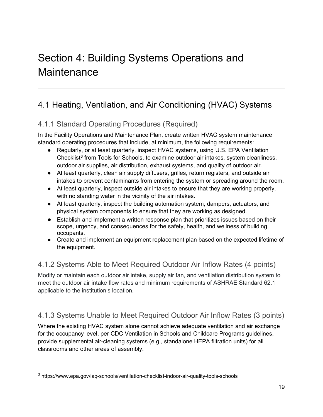# <span id="page-19-0"></span>Section 4: Building Systems Operations and **Maintenance**

# <span id="page-19-1"></span>4.1 Heating, Ventilation, and Air Conditioning (HVAC) Systems

# <span id="page-19-2"></span>4.1.1 Standard Operating Procedures (Required)

In the Facility Operations and Maintenance Plan, create written HVAC system maintenance standard operating procedures that include, at minimum, the following requirements:

- Regularly, or at least quarterly, inspect HVAC systems, using U.S. EPA Ventilation Checklist $3$  from Tools for Schools, to examine outdoor air intakes, system cleanliness, outdoor air supplies, air distribution, exhaust systems, and quality of outdoor air.
- At least quarterly, clean air supply diffusers, grilles, return registers, and outside air intakes to prevent contaminants from entering the system or spreading around the room.
- At least quarterly, inspect outside air intakes to ensure that they are working properly, with no standing water in the vicinity of the air intakes.
- At least quarterly, inspect the building automation system, dampers, actuators, and physical system components to ensure that they are working as designed.
- Establish and implement a written response plan that prioritizes issues based on their scope, urgency, and consequences for the safety, health, and wellness of building occupants.
- Create and implement an equipment replacement plan based on the expected lifetime of the equipment.

## <span id="page-19-3"></span>4.1.2 Systems Able to Meet Required Outdoor Air Inflow Rates (4 points)

Modify or maintain each outdoor air intake, supply air fan, and ventilation distribution system to meet the outdoor air intake flow rates and minimum requirements of ASHRAE Standard 62.1 applicable to the institution's location.

# <span id="page-19-4"></span>4.1.3 Systems Unable to Meet Required Outdoor Air Inflow Rates (3 points)

Where the existing HVAC system alone cannot achieve adequate ventilation and air exchange for the occupancy level, per CDC Ventilation in Schools and Childcare Programs guidelines, provide supplemental air-cleaning systems (e.g., standalone HEPA filtration units) for all classrooms and other areas of assembly.

<span id="page-19-5"></span><sup>3</sup> https://www.epa.gov/iaq-schools/ventilation-checklist-indoor-air-quality-tools-schools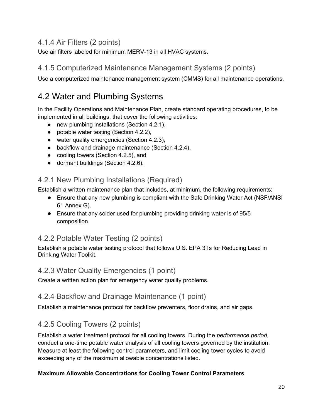## <span id="page-20-0"></span>4.1.4 Air Filters (2 points)

<span id="page-20-1"></span>Use air filters labeled for minimum MERV-13 in all HVAC systems.

### 4.1.5 Computerized Maintenance Management Systems (2 points)

<span id="page-20-2"></span>Use a computerized maintenance management system (CMMS) for all maintenance operations.

# 4.2 Water and Plumbing Systems

In the Facility Operations and Maintenance Plan, create standard operating procedures, to be implemented in all buildings, that cover the following activities:

- new plumbing installations (Section 4.2.1),
- $\bullet$  potable water testing (Section 4.2.2),
- water quality emergencies (Section 4.2.3),
- backflow and drainage maintenance (Section 4.2.4),
- cooling towers (Section 4.2.5), and
- dormant buildings (Section 4.2.6).

### <span id="page-20-3"></span>4.2.1 New Plumbing Installations (Required)

Establish a written maintenance plan that includes, at minimum, the following requirements:

- Ensure that any new plumbing is compliant with the Safe Drinking Water Act (NSF/ANSI 61 Annex G).
- Ensure that any solder used for plumbing providing drinking water is of 95/5 composition.

### <span id="page-20-4"></span>4.2.2 Potable Water Testing (2 points)

Establish a potable water testing protocol that follows U.S. EPA 3Ts for Reducing Lead in Drinking Water Toolkit.

### <span id="page-20-5"></span>4.2.3 Water Quality Emergencies (1 point)

<span id="page-20-6"></span>Create a written action plan for emergency water quality problems.

### 4.2.4 Backflow and Drainage Maintenance (1 point)

<span id="page-20-7"></span>Establish a maintenance protocol for backflow preventers, floor drains, and air gaps.

### 4.2.5 Cooling Towers (2 points)

Establish a water treatment protocol for all cooling towers. During the *performance period*, conduct a one-time potable water analysis of all cooling towers governed by the institution. Measure at least the following control parameters, and limit cooling tower cycles to avoid exceeding any of the maximum allowable concentrations listed.

#### **Maximum Allowable Concentrations for Cooling Tower Control Parameters**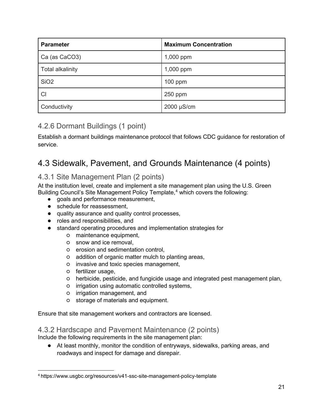| <b>Parameter</b>        | <b>Maximum Concentration</b> |
|-------------------------|------------------------------|
| Ca (as CaCO3)           | 1,000 ppm                    |
| <b>Total alkalinity</b> | 1,000 ppm                    |
| SiO <sub>2</sub>        | $100$ ppm                    |
| C <sub>l</sub>          | $250$ ppm                    |
| Conductivity            | 2000 µS/cm                   |

## <span id="page-21-0"></span>4.2.6 Dormant Buildings (1 point)

Establish a dormant buildings maintenance protocol that follows CDC guidance for restoration of service.

# <span id="page-21-1"></span>4.3 Sidewalk, Pavement, and Grounds Maintenance (4 points)

## 4.3.1 Site Management Plan (2 points)

At the institution level, create and implement a site management plan using the U.S. Green Building Council's Site Management Policy Template,<sup>[4](#page-21-2)</sup> which covers the following:

- goals and performance measurement,
- schedule for reassessment,
- quality assurance and quality control processes,
- roles and responsibilities, and
- standard operating procedures and implementation strategies for
	- maintenance equipment,
	- snow and ice removal,
	- erosion and sedimentation control,
	- addition of organic matter mulch to planting areas,
	- invasive and toxic species management,
	- fertilizer usage,
	- herbicide, pesticide, and fungicide usage and integrated pest management plan,
	- irrigation using automatic controlled systems,
	- irrigation management, and
	- storage of materials and equipment.

Ensure that site management workers and contractors are licensed.

4.3.2 Hardscape and Pavement Maintenance (2 points)

- Include the following requirements in the site management plan:
	- At least monthly, monitor the condition of entryways, sidewalks, parking areas, and roadways and inspect for damage and disrepair.

<span id="page-21-2"></span><sup>4</sup> <https://www.usgbc.org/resources/v41-ssc-site-management-policy-template>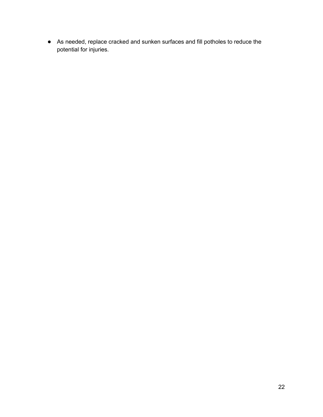● As needed, replace cracked and sunken surfaces and fill potholes to reduce the potential for injuries.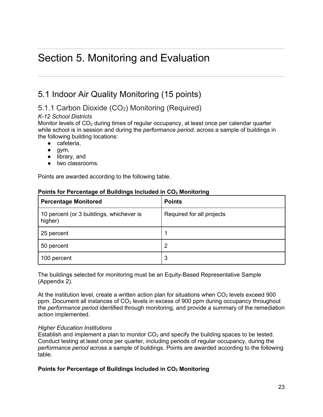# <span id="page-23-0"></span>Section 5. Monitoring and Evaluation

# <span id="page-23-1"></span>5.1 Indoor Air Quality Monitoring (15 points)

# 5.1.1 Carbon Dioxide (CO2) Monitoring (Required)

#### *K-12 School Districts*

Monitor levels of  $CO<sub>2</sub>$  during times of regular occupancy, at least once per calendar quarter while school is in session and during the *performance period*, across a sample of buildings in the following building locations:

- cafeteria.
- $\bullet$  gym,
- library, and
- two classrooms.

Points are awarded according to the following table.

#### **Points for Percentage of Buildings Included in CO<sub>2</sub> Monitoring**

| <b>Percentage Monitored</b>                         | <b>Points</b>             |
|-----------------------------------------------------|---------------------------|
| 10 percent (or 3 buildings, whichever is<br>higher) | Required for all projects |
| 25 percent                                          |                           |
| 50 percent                                          | 2                         |
| 100 percent                                         | 3                         |

The buildings selected for monitoring must be an Equity-Based Representative Sample (Appendix 2).

At the institution level, create a written action plan for situations when  $CO<sub>2</sub>$  levels exceed 900 ppm. Document all instances of  $CO<sub>2</sub>$  levels in excess of 900 ppm during occupancy throughout the *performance period* identified through monitoring, and provide a summary of the remediation action implemented.

#### *Higher Education Institutions*

Establish and implement a plan to monitor  $CO<sub>2</sub>$  and specify the building spaces to be tested. Conduct testing at least once per quarter, including periods of regular occupancy, during the *performance period* across a sample of buildings. Points are awarded according to the following table.

#### **Points for Percentage of Buildings Included in CO<sub>2</sub> Monitoring**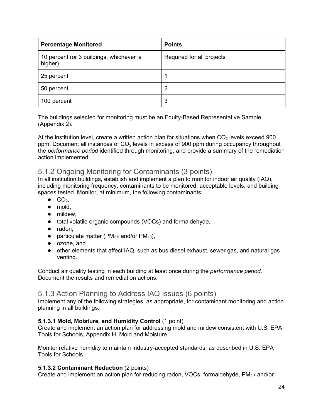| <b>Percentage Monitored</b>                         | <b>Points</b>             |
|-----------------------------------------------------|---------------------------|
| 10 percent (or 3 buildings, whichever is<br>higher) | Required for all projects |
| 25 percent                                          |                           |
| 50 percent                                          | 2                         |
| 100 percent                                         | 3                         |

The buildings selected for monitoring must be an Equity-Based Representative Sample (Appendix 2).

At the institution level, create a written action plan for situations when  $CO<sub>2</sub>$  levels exceed 900 ppm. Document all instances of CO<sub>2</sub> levels in excess of 900 ppm during occupancy throughout the *performance period* identified through monitoring, and provide a summary of the remediation action implemented.

### 5.1.2 Ongoing Monitoring for Contaminants (3 points)

In all institution buildings, establish and implement a plan to monitor indoor air quality (IAQ), including monitoring frequency, contaminants to be monitored, acceptable levels, and building spaces tested. Monitor, at minimum, the following contaminants:

- $\bullet$  CO<sub>2</sub>.
- mold,
- mildew,
- total volatile organic compounds (VOCs) and formaldehyde,
- radon,
- particulate matter ( $PM_{2.5}$  and/or  $PM_{10}$ ),
- ozone, and
- other elements that affect IAQ, such as bus diesel exhaust, sewer gas, and natural gas venting.

Conduct air quality testing in each building at least once during the *performance period*. Document the results and remediation actions.

#### 5.1.3 Action Planning to Address IAQ Issues (6 points)

Implement any of the following strategies, as appropriate, for contaminant monitoring and action planning in all buildings.

#### **5.1.3.1 Mold, Moisture, and Humidity Control** (1 point)

Create and implement an action plan for addressing mold and mildew consistent with U.S. EPA Tools for Schools, Appendix H, Mold and Moisture.

Monitor relative humidity to maintain industry-accepted standards, as described in U.S. EPA Tools for Schools.

#### **5.1.3.2 Contaminant Reduction** (2 points)

Create and implement an action plan for reducing radon, VOCs, formaldehyde,  $PM_{2.5}$  and/or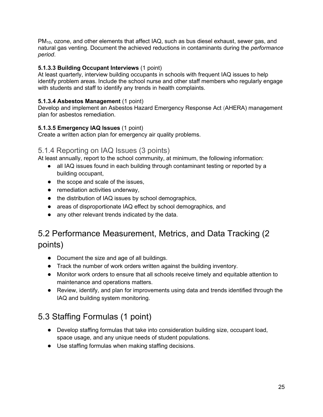PM10, ozone, and other elements that affect IAQ, such as bus diesel exhaust, sewer gas, and natural gas venting. Document the achieved reductions in contaminants during the *performance period*.

#### **5.1.3.3 Building Occupant Interviews** (1 point)

At least quarterly, interview building occupants in schools with frequent IAQ issues to help identify problem areas. Include the school nurse and other staff members who regularly engage with students and staff to identify any trends in health complaints.

#### **5.1.3.4 Asbestos Management** (1 point)

Develop and implement an Asbestos Hazard Emergency Response Act (AHERA) management plan for asbestos remediation.

#### **5.1.3.5 Emergency IAQ Issues** (1 point)

Create a written action plan for emergency air quality problems.

#### 5.1.4 Reporting on IAQ Issues (3 points)

At least annually, report to the school community, at minimum, the following information:

- all IAQ issues found in each building through contaminant testing or reported by a building occupant,
- the scope and scale of the issues,
- remediation activities underway,
- the distribution of IAQ issues by school demographics,
- areas of disproportionate IAQ effect by school demographics, and
- any other relevant trends indicated by the data.

# <span id="page-25-0"></span>5.2 Performance Measurement, Metrics, and Data Tracking (2 points)

- Document the size and age of all buildings.
- Track the number of work orders written against the building inventory.
- Monitor work orders to ensure that all schools receive timely and equitable attention to maintenance and operations matters.
- Review, identify, and plan for improvements using data and trends identified through the IAQ and building system monitoring.

# <span id="page-25-1"></span>5.3 Staffing Formulas (1 point)

- Develop staffing formulas that take into consideration building size, occupant load, space usage, and any unique needs of student populations.
- Use staffing formulas when making staffing decisions.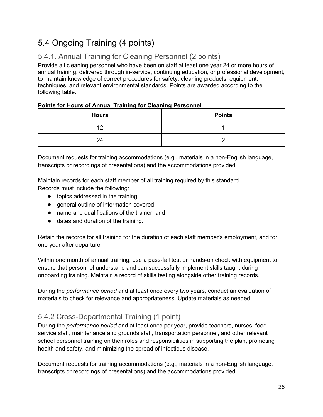# <span id="page-26-0"></span>5.4 Ongoing Training (4 points)

# 5.4.1. Annual Training for Cleaning Personnel (2 points)

Provide all cleaning personnel who have been on staff at least one year 24 or more hours of annual training, delivered through in-service, continuing education, or professional development, to maintain knowledge of correct procedures for safety, cleaning products, equipment, techniques, and relevant environmental standards. Points are awarded according to the following table.

#### **Points for Hours of Annual Training for Cleaning Personnel**

| <b>Hours</b> | <b>Points</b> |
|--------------|---------------|
| 40           |               |
| 24           |               |

Document requests for training accommodations (e.g., materials in a non-English language, transcripts or recordings of presentations) and the accommodations provided.

Maintain records for each staff member of all training required by this standard. Records must include the following:

- topics addressed in the training,
- general outline of information covered,
- name and qualifications of the trainer, and
- dates and duration of the training.

Retain the records for all training for the duration of each staff member's employment, and for one year after departure.

Within one month of annual training, use a pass-fail test or hands-on check with equipment to ensure that personnel understand and can successfully implement skills taught during onboarding training. Maintain a record of skills testing alongside other training records.

During the *performance period* and at least once every two years, conduct an evaluation of materials to check for relevance and appropriateness. Update materials as needed.

# 5.4.2 Cross-Departmental Training (1 point)

During the *performance period* and at least once per year, provide teachers, nurses, food service staff, maintenance and grounds staff, transportation personnel, and other relevant school personnel training on their roles and responsibilities in supporting the plan, promoting health and safety, and minimizing the spread of infectious disease.

Document requests for training accommodations (e.g., materials in a non-English language, transcripts or recordings of presentations) and the accommodations provided.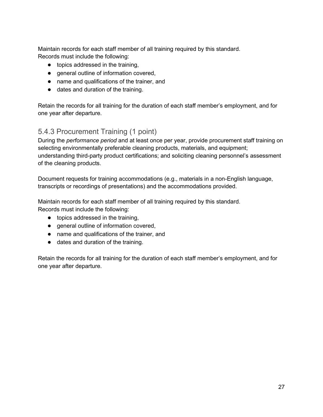Maintain records for each staff member of all training required by this standard. Records must include the following:

- topics addressed in the training,
- general outline of information covered,
- name and qualifications of the trainer, and
- dates and duration of the training.

Retain the records for all training for the duration of each staff member's employment, and for one year after departure.

### 5.4.3 Procurement Training (1 point)

During the *performance period* and at least once per year, provide procurement staff training on selecting environmentally preferable cleaning products, materials, and equipment; understanding third-party product certifications; and soliciting cleaning personnel's assessment of the cleaning products.

Document requests for training accommodations (e.g., materials in a non-English language, transcripts or recordings of presentations) and the accommodations provided.

Maintain records for each staff member of all training required by this standard. Records must include the following:

- topics addressed in the training,
- general outline of information covered,
- name and qualifications of the trainer, and
- dates and duration of the training.

Retain the records for all training for the duration of each staff member's employment, and for one year after departure.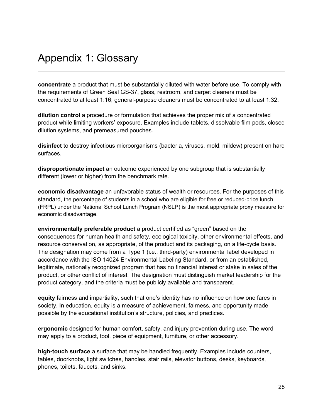# <span id="page-28-0"></span>Appendix 1: Glossary

**concentrate** a product that must be substantially diluted with water before use. To comply with the requirements of Green Seal GS-37, glass, restroom, and carpet cleaners must be concentrated to at least 1:16; general-purpose cleaners must be concentrated to at least 1:32.

**dilution control** a procedure or formulation that achieves the proper mix of a concentrated product while limiting workers' exposure. Examples include tablets, dissolvable film pods, closed dilution systems, and premeasured pouches.

**disinfect** to destroy infectious microorganisms (bacteria, viruses, mold, mildew) present on hard surfaces.

**disproportionate impact** an outcome experienced by one subgroup that is substantially different (lower or higher) from the benchmark rate.

**economic disadvantage** an unfavorable status of wealth or resources. For the purposes of this standard, the percentage of students in a school who are eligible for free or reduced-price lunch (FRPL) under the National School Lunch Program (NSLP) is the most appropriate proxy measure for economic disadvantage.

**environmentally preferable product** a product certified as "green" based on the consequences for human health and safety, ecological toxicity, other environmental effects, and resource conservation, as appropriate, of the product and its packaging, on a life-cycle basis. The designation may come from a Type 1 (i.e., third-party) environmental label developed in accordance with the ISO 14024 Environmental Labeling Standard, or from an established, legitimate, nationally recognized program that has no financial interest or stake in sales of the product, or other conflict of interest. The designation must distinguish market leadership for the product category, and the criteria must be publicly available and transparent.

**equity** fairness and impartiality, such that one's identity has no influence on how one fares in society. In education, equity is a measure of achievement, fairness, and opportunity made possible by the educational institution's structure, policies, and practices.

**ergonomic** designed for human comfort, safety, and injury prevention during use. The word may apply to a product, tool, piece of equipment, furniture, or other accessory.

**high-touch surface** a surface that may be handled frequently. Examples include counters, tables, doorknobs, light switches, handles, stair rails, elevator buttons, desks, keyboards, phones, toilets, faucets, and sinks.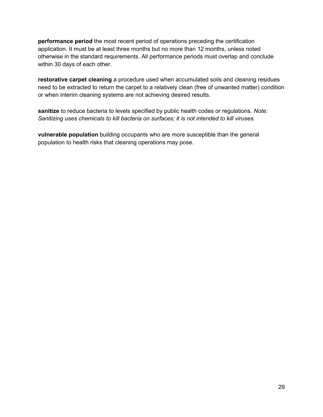**performance period** the most recent period of operations preceding the certification application. It must be at least three months but no more than 12 months, unless noted otherwise in the standard requirements. All performance periods must overlap and conclude within 30 days of each other.

**restorative carpet cleaning** a procedure used when accumulated soils and cleaning residues need to be extracted to return the carpet to a relatively clean (free of unwanted matter) condition or when interim cleaning systems are not achieving desired results.

**sanitize** to reduce bacteria to levels specified by public health codes or regulations. *Note: Sanitizing uses chemicals to kill bacteria on surfaces; it is not intended to kill viruses.*

**vulnerable population** building occupants who are more susceptible than the general population to health risks that cleaning operations may pose.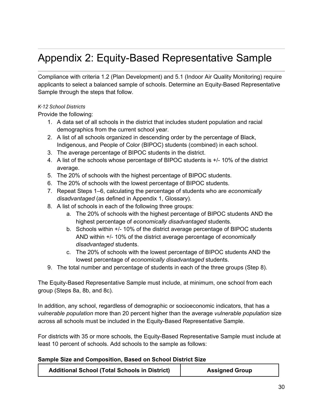# <span id="page-30-1"></span><span id="page-30-0"></span>Appendix 2: Equity-Based Representative Sample

Compliance with criteria 1.2 (Plan Development) and 5.1 (Indoor Air Quality Monitoring) require applicants to select a balanced sample of schools. Determine an Equity-Based Representative Sample through the steps that follow.

#### *K-12 School Districts*

Provide the following:

- 1. A data set of all schools in the district that includes student population and racial demographics from the current school year.
- 2. A list of all schools organized in descending order by the percentage of Black, Indigenous, and People of Color (BIPOC) students (combined) in each school.
- 3. The average percentage of BIPOC students in the district.
- 4. A list of the schools whose percentage of BIPOC students is +/- 10% of the district average.
- 5. The 20% of schools with the highest percentage of BIPOC students.
- 6. The 20% of schools with the lowest percentage of BIPOC students.
- 7. Repeat Steps 1–6, calculating the percentage of students who are *economically disadvantaged* (as defined in Appendix 1, Glossary).
- 8. A list of schools in each of the following three groups:
	- a. The 20% of schools with the highest percentage of BIPOC students AND the highest percentage of *economically disadvantaged* students.
	- b. Schools within +/- 10% of the district average percentage of BIPOC students AND within +/- 10% of the district average percentage of *economically disadvantaged* students.
	- c. The 20% of schools with the lowest percentage of BIPOC students AND the lowest percentage of *economically disadvantaged* students.
- 9. The total number and percentage of students in each of the three groups (Step 8).

The Equity-Based Representative Sample must include, at minimum, one school from each group (Steps 8a, 8b, and 8c).

In addition, any school, regardless of demographic or socioeconomic indicators, that has a *vulnerable population* more than 20 percent higher than the average *vulnerable population* size across all schools must be included in the Equity-Based Representative Sample.

For districts with 35 or more schools, the Equity-Based Representative Sample must include at least 10 percent of schools. Add schools to the sample as follows:

#### **Sample Size and Composition, Based on School District Size**

| <b>Additional School (Total Schools in District)</b> | <b>Assigned Group</b> |
|------------------------------------------------------|-----------------------|
|------------------------------------------------------|-----------------------|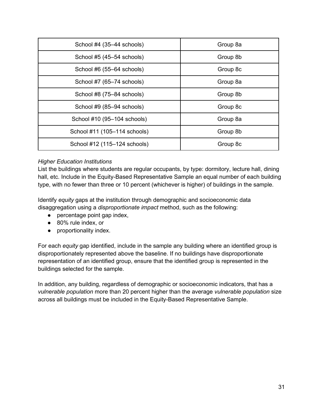| School $#4$ (35-44 schools)  | Group 8a |
|------------------------------|----------|
| School #5 (45–54 schools)    | Group 8b |
| School #6 (55–64 schools)    | Group 8c |
| School #7 (65-74 schools)    | Group 8a |
| School #8 (75–84 schools)    | Group 8b |
| School #9 (85-94 schools)    | Group 8c |
| School #10 (95-104 schools)  | Group 8a |
| School #11 (105-114 schools) | Group 8b |
| School #12 (115-124 schools) | Group 8c |

#### *Higher Education Institutions*

List the buildings where students are regular occupants, by type: dormitory, lecture hall, dining hall, etc. Include in the Equity-Based Representative Sample an equal number of each building type, with no fewer than three or 10 percent (whichever is higher) of buildings in the sample.

Identify *equity* gaps at the institution through demographic and socioeconomic data disaggregation using a *disproportionate impact* method, such as the following:

- percentage point gap index,
- 80% rule index, or
- proportionality index.

For each *equity* gap identified, include in the sample any building where an identified group is disproportionately represented above the baseline. If no buildings have disproportionate representation of an identified group, ensure that the identified group is represented in the buildings selected for the sample.

In addition, any building, regardless of demographic or socioeconomic indicators, that has a *vulnerable population* more than 20 percent higher than the average *vulnerable population* size across all buildings must be included in the Equity-Based Representative Sample.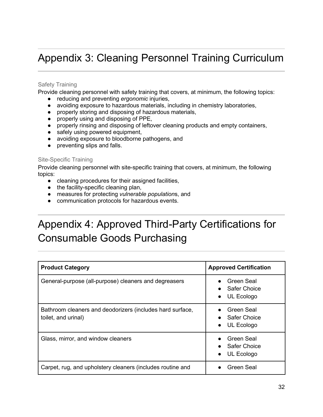# <span id="page-32-0"></span>Appendix 3: Cleaning Personnel Training Curriculum

#### Safety Training

Provide cleaning personnel with safety training that covers, at minimum, the following topics:

- reducing and preventing *ergonomic* injuries,
- avoiding exposure to hazardous materials, including in chemistry laboratories,
- properly storing and disposing of hazardous materials,
- properly using and disposing of PPE,
- properly rinsing and disposing of leftover cleaning products and empty containers,
- safely using powered equipment,
- avoiding exposure to bloodborne pathogens, and
- preventing slips and falls.

#### Site-Specific Training

Provide cleaning personnel with site-specific training that covers, at minimum, the following topics:

- cleaning procedures for their assigned facilities,
- the facility-specific cleaning plan,
- measures for protecting *vulnerable population*s, and
- <span id="page-32-1"></span>● communication protocols for hazardous events.

# <span id="page-32-2"></span>Appendix 4: Approved Third-Party Certifications for Consumable Goods Purchasing

| <b>Product Category</b>                                                          | <b>Approved Certification</b>                                |
|----------------------------------------------------------------------------------|--------------------------------------------------------------|
| General-purpose (all-purpose) cleaners and degreasers                            | Green Seal<br>Safer Choice<br>UL Ecologo<br>$\bullet$        |
| Bathroom cleaners and deodorizers (includes hard surface,<br>toilet, and urinal) | Green Seal<br>• Safer Choice<br>UL Ecologo<br>$\bullet$      |
| Glass, mirror, and window cleaners                                               | Green Seal<br><b>Safer Choice</b><br>UL Ecologo<br>$\bullet$ |
| Carpet, rug, and upholstery cleaners (includes routine and                       | Green Seal                                                   |